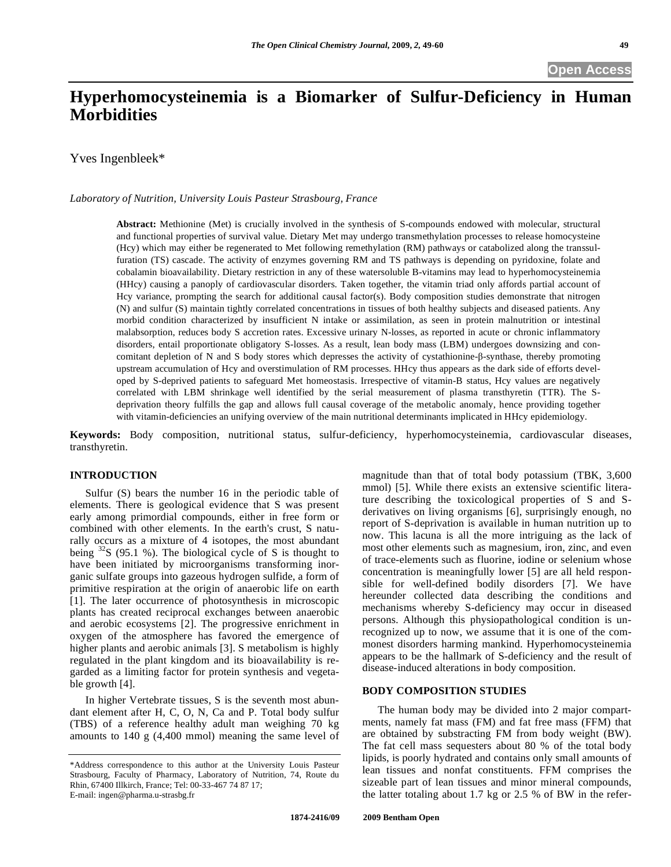# **Hyperhomocysteinemia is a Biomarker of Sulfur-Deficiency in Human Morbidities**

Yves Ingenbleek\*

*Laboratory of Nutrition, University Louis Pasteur Strasbourg, France* 

**Abstract:** Methionine (Met) is crucially involved in the synthesis of S-compounds endowed with molecular, structural and functional properties of survival value. Dietary Met may undergo transmethylation processes to release homocysteine (Hcy) which may either be regenerated to Met following remethylation (RM) pathways or catabolized along the transsulfuration (TS) cascade. The activity of enzymes governing RM and TS pathways is depending on pyridoxine, folate and cobalamin bioavailability. Dietary restriction in any of these watersoluble B-vitamins may lead to hyperhomocysteinemia (HHcy) causing a panoply of cardiovascular disorders. Taken together, the vitamin triad only affords partial account of Hcy variance, prompting the search for additional causal factor(s). Body composition studies demonstrate that nitrogen (N) and sulfur (S) maintain tightly correlated concentrations in tissues of both healthy subjects and diseased patients. Any morbid condition characterized by insufficient N intake or assimilation, as seen in protein malnutrition or intestinal malabsorption, reduces body S accretion rates. Excessive urinary N-losses, as reported in acute or chronic inflammatory disorders, entail proportionate obligatory S-losses. As a result, lean body mass (LBM) undergoes downsizing and concomitant depletion of N and S body stores which depresses the activity of cystathionine- $\beta$ -synthase, thereby promoting upstream accumulation of Hcy and overstimulation of RM processes. HHcy thus appears as the dark side of efforts developed by S-deprived patients to safeguard Met homeostasis. Irrespective of vitamin-B status, Hcy values are negatively correlated with LBM shrinkage well identified by the serial measurement of plasma transthyretin (TTR). The Sdeprivation theory fulfills the gap and allows full causal coverage of the metabolic anomaly, hence providing together with vitamin-deficiencies an unifying overview of the main nutritional determinants implicated in HHcy epidemiology.

**Keywords:** Body composition, nutritional status, sulfur-deficiency, hyperhomocysteinemia, cardiovascular diseases, transthyretin.

## **INTRODUCTION**

 Sulfur (S) bears the number 16 in the periodic table of elements. There is geological evidence that S was present early among primordial compounds, either in free form or combined with other elements. In the earth's crust, S naturally occurs as a mixture of 4 isotopes, the most abundant being  $32S$  (95.1 %). The biological cycle of S is thought to have been initiated by microorganisms transforming inorganic sulfate groups into gazeous hydrogen sulfide, a form of primitive respiration at the origin of anaerobic life on earth [1]. The later occurrence of photosynthesis in microscopic plants has created reciprocal exchanges between anaerobic and aerobic ecosystems [2]. The progressive enrichment in oxygen of the atmosphere has favored the emergence of higher plants and aerobic animals [3]. S metabolism is highly regulated in the plant kingdom and its bioavailability is regarded as a limiting factor for protein synthesis and vegetable growth [4].

 In higher Vertebrate tissues, S is the seventh most abundant element after H, C, O, N, Ca and P. Total body sulfur (TBS) of a reference healthy adult man weighing 70 kg amounts to 140 g (4,400 mmol) meaning the same level of

magnitude than that of total body potassium (TBK, 3,600 mmol) [5]. While there exists an extensive scientific literature describing the toxicological properties of S and Sderivatives on living organisms [6], surprisingly enough, no report of S-deprivation is available in human nutrition up to now. This lacuna is all the more intriguing as the lack of most other elements such as magnesium, iron, zinc, and even of trace-elements such as fluorine, iodine or selenium whose concentration is meaningfully lower [5] are all held responsible for well-defined bodily disorders [7]. We have hereunder collected data describing the conditions and mechanisms whereby S-deficiency may occur in diseased persons. Although this physiopathological condition is unrecognized up to now, we assume that it is one of the commonest disorders harming mankind. Hyperhomocysteinemia appears to be the hallmark of S-deficiency and the result of disease-induced alterations in body composition.

#### **BODY COMPOSITION STUDIES**

 The human body may be divided into 2 major compartments, namely fat mass (FM) and fat free mass (FFM) that are obtained by substracting FM from body weight (BW). The fat cell mass sequesters about 80 % of the total body lipids, is poorly hydrated and contains only small amounts of lean tissues and nonfat constituents. FFM comprises the sizeable part of lean tissues and minor mineral compounds, the latter totaling about 1.7 kg or 2.5 % of BW in the refer-

<sup>\*</sup>Address correspondence to this author at the University Louis Pasteur Strasbourg, Faculty of Pharmacy, Laboratory of Nutrition, 74, Route du Rhin, 67400 Illkirch, France; Tel: 00-33-467 74 87 17; E-mail: ingen@pharma.u-strasbg.fr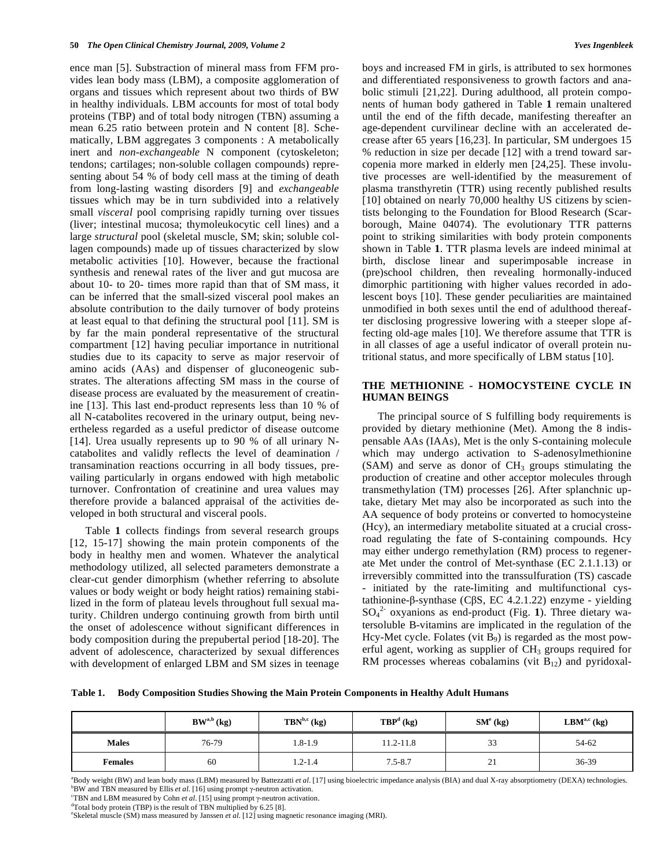ence man [5]. Substraction of mineral mass from FFM provides lean body mass (LBM), a composite agglomeration of organs and tissues which represent about two thirds of BW in healthy individuals. LBM accounts for most of total body proteins (TBP) and of total body nitrogen (TBN) assuming a mean 6.25 ratio between protein and N content [8]. Schematically, LBM aggregates 3 components : A metabolically inert and *non-exchangeable* N component (cytoskeleton; tendons; cartilages; non-soluble collagen compounds) representing about 54 % of body cell mass at the timing of death from long-lasting wasting disorders [9] and *exchangeable*  tissues which may be in turn subdivided into a relatively small *visceral* pool comprising rapidly turning over tissues (liver; intestinal mucosa; thymoleukocytic cell lines) and a large *structural* pool (skeletal muscle, SM; skin; soluble collagen compounds) made up of tissues characterized by slow metabolic activities [10]. However, because the fractional synthesis and renewal rates of the liver and gut mucosa are about 10- to 20- times more rapid than that of SM mass, it can be inferred that the small-sized visceral pool makes an absolute contribution to the daily turnover of body proteins at least equal to that defining the structural pool [11]. SM is by far the main ponderal representative of the structural compartment [12] having peculiar importance in nutritional studies due to its capacity to serve as major reservoir of amino acids (AAs) and dispenser of gluconeogenic substrates. The alterations affecting SM mass in the course of disease process are evaluated by the measurement of creatinine [13]. This last end-product represents less than 10 % of all N-catabolites recovered in the urinary output, being nevertheless regarded as a useful predictor of disease outcome [14]. Urea usually represents up to 90 % of all urinary Ncatabolites and validly reflects the level of deamination / transamination reactions occurring in all body tissues, prevailing particularly in organs endowed with high metabolic turnover. Confrontation of creatinine and urea values may therefore provide a balanced appraisal of the activities developed in both structural and visceral pools.

 Table **1** collects findings from several research groups [12, 15-17] showing the main protein components of the body in healthy men and women. Whatever the analytical methodology utilized, all selected parameters demonstrate a clear-cut gender dimorphism (whether referring to absolute values or body weight or body height ratios) remaining stabilized in the form of plateau levels throughout full sexual maturity. Children undergo continuing growth from birth until the onset of adolescence without significant differences in body composition during the prepubertal period [18-20]. The advent of adolescence, characterized by sexual differences with development of enlarged LBM and SM sizes in teenage boys and increased FM in girls, is attributed to sex hormones and differentiated responsiveness to growth factors and anabolic stimuli [21,22]. During adulthood, all protein components of human body gathered in Table **1** remain unaltered until the end of the fifth decade, manifesting thereafter an age-dependent curvilinear decline with an accelerated decrease after 65 years [16,23]. In particular, SM undergoes 15 % reduction in size per decade [12] with a trend toward sarcopenia more marked in elderly men [24,25]. These involutive processes are well-identified by the measurement of plasma transthyretin (TTR) using recently published results [10] obtained on nearly 70,000 healthy US citizens by scientists belonging to the Foundation for Blood Research (Scarborough, Maine 04074). The evolutionary TTR patterns point to striking similarities with body protein components shown in Table **1**. TTR plasma levels are indeed minimal at birth, disclose linear and superimposable increase in (pre)school children, then revealing hormonally-induced dimorphic partitioning with higher values recorded in adolescent boys [10]. These gender peculiarities are maintained unmodified in both sexes until the end of adulthood thereafter disclosing progressive lowering with a steeper slope affecting old-age males [10]. We therefore assume that TTR is in all classes of age a useful indicator of overall protein nutritional status, and more specifically of LBM status [10].

# **THE METHIONINE - HOMOCYSTEINE CYCLE IN HUMAN BEINGS**

 The principal source of S fulfilling body requirements is provided by dietary methionine (Met). Among the 8 indispensable AAs (IAAs), Met is the only S-containing molecule which may undergo activation to S-adenosylmethionine  $(SAM)$  and serve as donor of  $CH<sub>3</sub>$  groups stimulating the production of creatine and other acceptor molecules through transmethylation (TM) processes [26]. After splanchnic uptake, dietary Met may also be incorporated as such into the AA sequence of body proteins or converted to homocysteine (Hcy), an intermediary metabolite situated at a crucial crossroad regulating the fate of S-containing compounds. Hcy may either undergo remethylation (RM) process to regenerate Met under the control of Met-synthase (EC 2.1.1.13) or irreversibly committed into the transsulfuration (TS) cascade initiated by the rate-limiting and multifunctional cystathionine- $\beta$ -synthase (C $\beta$ S, EC 4.2.1.22) enzyme - yielding SO4 2- oxyanions as end-product (Fig. **1**). Three dietary watersoluble B-vitamins are implicated in the regulation of the Hcy-Met cycle. Folates (vit  $B_9$ ) is regarded as the most powerful agent, working as supplier of  $CH<sub>3</sub>$  groups required for RM processes whereas cobalamins (vit  $B_{12}$ ) and pyridoxal-

**Table 1. Body Composition Studies Showing the Main Protein Components in Healthy Adult Humans** 

|                | $BWa,b$ (kg) | $TBN^{b,c}$ (kg) | $\mathbf{TBP}^d$ (kg) | $SMe$ (kg) | $\mathbf{LBM}^{\mathrm{a,c}}$ (kg) |
|----------------|--------------|------------------|-----------------------|------------|------------------------------------|
| <b>Males</b>   | 76-79        | 1.8-1.9          | 11.2-11.8             | 33         | 54-62                              |
| <b>Females</b> | 60           | $1.2 - 1.4$      | $7.5 - 8.7$           | 21         | 36-39                              |

<sup>a</sup>Body weight (BW) and lean body mass (LBM) measured by Battezzatti *et al.* [17] using bioelectric impedance analysis (BIA) and dual X-ray absorptiometry (DEXA) technologies.  $B$ W and TBN measured by Ellis *et al.* [16] using prompt  $\gamma$ -neutron activation.

TBN and LBM measured by Cohn *et al.* [15] using prompt  $\gamma$ -neutron activation.<br><sup>d</sup>Total body protain (TBD) is the result of TBN multiplied by 6.25.181

Skeletal muscle (SM) mass measured by Janssen *et al*. [12] using magnetic resonance imaging (MRI).

 $\text{Total body protein (TBP)}$  is the result of TBN multiplied by 6.25 [8].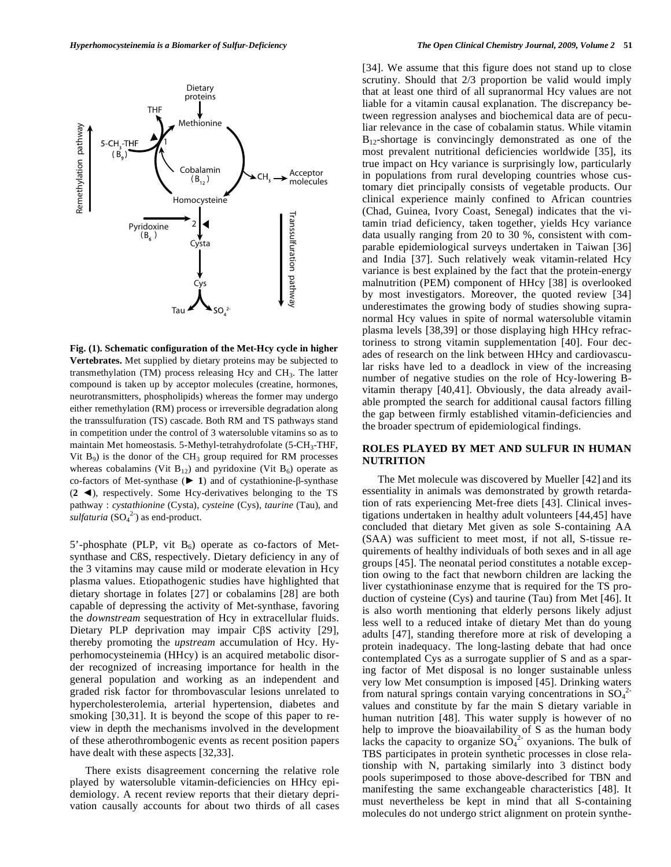Dietary proteins

Methionine

Homocysteine

Cys

Tau

2 **Cysta** 

Pyridoxine  $(B_6)$ 

THF

5-CH<sub>2</sub>-THF  $(\overrightarrow{B}_{0})$ 

1

Cobalamin $(B_{12})$ 

Remethylation path Remethylation pathway

Acceptor<br>molecules

Transsulfuration path Franssulfuration pathway



5'-phosphate (PLP, vit  $B_6$ ) operate as co-factors of Metsynthase and CßS, respectively. Dietary deficiency in any of the 3 vitamins may cause mild or moderate elevation in Hcy plasma values. Etiopathogenic studies have highlighted that dietary shortage in folates [27] or cobalamins [28] are both capable of depressing the activity of Met-synthase, favoring the *downstream* sequestration of Hcy in extracellular fluids. Dietary PLP deprivation may impair  $C\beta S$  activity [29], thereby promoting the *upstream* accumulation of Hcy. Hyperhomocysteinemia (HHcy) is an acquired metabolic disorder recognized of increasing importance for health in the general population and working as an independent and graded risk factor for thrombovascular lesions unrelated to hypercholesterolemia, arterial hypertension, diabetes and smoking [30,31]. It is beyond the scope of this paper to review in depth the mechanisms involved in the development of these atherothrombogenic events as recent position papers have dealt with these aspects [32,33].

 There exists disagreement concerning the relative role played by watersoluble vitamin-deficiencies on HHcy epidemiology. A recent review reports that their dietary deprivation causally accounts for about two thirds of all cases [34]. We assume that this figure does not stand up to close scrutiny. Should that 2/3 proportion be valid would imply that at least one third of all supranormal Hcy values are not liable for a vitamin causal explanation. The discrepancy between regression analyses and biochemical data are of peculiar relevance in the case of cobalamin status. While vitamin  $B_{12}$ -shortage is convincingly demonstrated as one of the most prevalent nutritional deficiencies worldwide [35], its true impact on Hcy variance is surprisingly low, particularly in populations from rural developing countries whose customary diet principally consists of vegetable products. Our clinical experience mainly confined to African countries (Chad, Guinea, Ivory Coast, Senegal) indicates that the vitamin triad deficiency, taken together, yields Hcy variance data usually ranging from 20 to 30 %, consistent with comparable epidemiological surveys undertaken in Taiwan [36] and India [37]. Such relatively weak vitamin-related Hcy variance is best explained by the fact that the protein-energy malnutrition (PEM) component of HHcy [38] is overlooked by most investigators. Moreover, the quoted review [34] underestimates the growing body of studies showing supranormal Hcy values in spite of normal watersoluble vitamin plasma levels [38,39] or those displaying high HHcy refractoriness to strong vitamin supplementation [40]. Four decades of research on the link between HHcy and cardiovascular risks have led to a deadlock in view of the increasing number of negative studies on the role of Hcy-lowering Bvitamin therapy [40,41]. Obviously, the data already available prompted the search for additional causal factors filling the gap between firmly established vitamin-deficiencies and the broader spectrum of epidemiological findings.

#### **ROLES PLAYED BY MET AND SULFUR IN HUMAN NUTRITION**

 The Met molecule was discovered by Mueller [42] and its essentiality in animals was demonstrated by growth retardation of rats experiencing Met-free diets [43]. Clinical investigations undertaken in healthy adult volunteers [44,45] have concluded that dietary Met given as sole S-containing AA (SAA) was sufficient to meet most, if not all, S-tissue requirements of healthy individuals of both sexes and in all age groups [45]. The neonatal period constitutes a notable exception owing to the fact that newborn children are lacking the liver cystathioninase enzyme that is required for the TS production of cysteine (Cys) and taurine (Tau) from Met [46]. It is also worth mentioning that elderly persons likely adjust less well to a reduced intake of dietary Met than do young adults [47], standing therefore more at risk of developing a protein inadequacy. The long-lasting debate that had once contemplated Cys as a surrogate supplier of S and as a sparing factor of Met disposal is no longer sustainable unless very low Met consumption is imposed [45]. Drinking waters from natural springs contain varying concentrations in  $SO_4^2$ values and constitute by far the main S dietary variable in human nutrition [48]. This water supply is however of no help to improve the bioavailability of S as the human body lacks the capacity to organize  $SO_4^2$  oxyanions. The bulk of TBS participates in protein synthetic processes in close relationship with N, partaking similarly into 3 distinct body pools superimposed to those above-described for TBN and manifesting the same exchangeable characteristics [48]. It must nevertheless be kept in mind that all S-containing molecules do not undergo strict alignment on protein synthe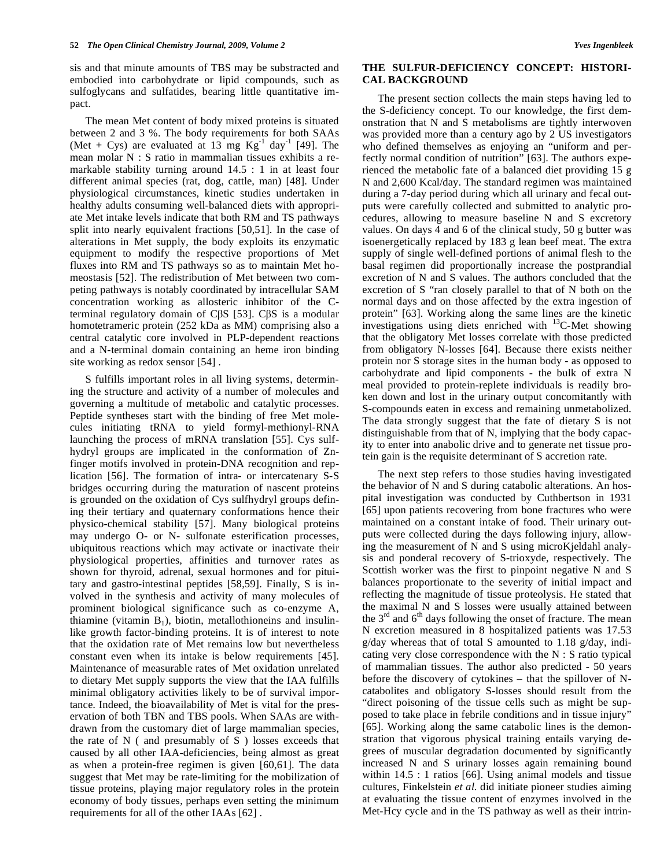sis and that minute amounts of TBS may be substracted and embodied into carbohydrate or lipid compounds, such as sulfoglycans and sulfatides, bearing little quantitative impact.

 The mean Met content of body mixed proteins is situated between 2 and 3 %. The body requirements for both SAAs (Met + Cys) are evaluated at 13 mg  $Kg^{-1}$  day<sup>-1</sup> [49]. The mean molar N : S ratio in mammalian tissues exhibits a remarkable stability turning around 14.5 : 1 in at least four different animal species (rat, dog, cattle, man) [48]. Under physiological circumstances, kinetic studies undertaken in healthy adults consuming well-balanced diets with appropriate Met intake levels indicate that both RM and TS pathways split into nearly equivalent fractions [50,51]. In the case of alterations in Met supply, the body exploits its enzymatic equipment to modify the respective proportions of Met fluxes into RM and TS pathways so as to maintain Met homeostasis [52]. The redistribution of Met between two competing pathways is notably coordinated by intracellular SAM concentration working as allosteric inhibitor of the Cterminal regulatory domain of C $\beta$ S [53]. C $\beta$ S is a modular homotetrameric protein (252 kDa as MM) comprising also a central catalytic core involved in PLP-dependent reactions and a N-terminal domain containing an heme iron binding site working as redox sensor [54] .

 S fulfills important roles in all living systems, determining the structure and activity of a number of molecules and governing a multitude of metabolic and catalytic processes. Peptide syntheses start with the binding of free Met molecules initiating tRNA to yield formyl-methionyl-RNA launching the process of mRNA translation [55]. Cys sulfhydryl groups are implicated in the conformation of Znfinger motifs involved in protein-DNA recognition and replication [56]. The formation of intra- or intercatenary S-S bridges occurring during the maturation of nascent proteins is grounded on the oxidation of Cys sulfhydryl groups defining their tertiary and quaternary conformations hence their physico-chemical stability [57]. Many biological proteins may undergo O- or N- sulfonate esterification processes, ubiquitous reactions which may activate or inactivate their physiological properties, affinities and turnover rates as shown for thyroid, adrenal, sexual hormones and for pituitary and gastro-intestinal peptides [58,59]. Finally, S is involved in the synthesis and activity of many molecules of prominent biological significance such as co-enzyme A, thiamine (vitamin  $B_1$ ), biotin, metallothioneins and insulinlike growth factor-binding proteins. It is of interest to note that the oxidation rate of Met remains low but nevertheless constant even when its intake is below requirements [45]. Maintenance of measurable rates of Met oxidation unrelated to dietary Met supply supports the view that the IAA fulfills minimal obligatory activities likely to be of survival importance. Indeed, the bioavailability of Met is vital for the preservation of both TBN and TBS pools. When SAAs are withdrawn from the customary diet of large mammalian species, the rate of N ( and presumably of S ) losses exceeds that caused by all other IAA-deficiencies, being almost as great as when a protein-free regimen is given [60,61]. The data suggest that Met may be rate-limiting for the mobilization of tissue proteins, playing major regulatory roles in the protein economy of body tissues, perhaps even setting the minimum requirements for all of the other IAAs [62] .

## **THE SULFUR-DEFICIENCY CONCEPT: HISTORI-CAL BACKGROUND**

 The present section collects the main steps having led to the S-deficiency concept. To our knowledge, the first demonstration that N and S metabolisms are tightly interwoven was provided more than a century ago by 2 US investigators who defined themselves as enjoying an "uniform and perfectly normal condition of nutrition" [63]. The authors experienced the metabolic fate of a balanced diet providing 15 g N and 2,600 Kcal/day. The standard regimen was maintained during a 7-day period during which all urinary and fecal outputs were carefully collected and submitted to analytic procedures, allowing to measure baseline N and S excretory values. On days 4 and 6 of the clinical study, 50 g butter was isoenergetically replaced by 183 g lean beef meat. The extra supply of single well-defined portions of animal flesh to the basal regimen did proportionally increase the postprandial excretion of N and S values. The authors concluded that the excretion of S "ran closely parallel to that of N both on the normal days and on those affected by the extra ingestion of protein" [63]. Working along the same lines are the kinetic investigations using diets enriched with 13C-Met showing that the obligatory Met losses correlate with those predicted from obligatory N-losses [64]. Because there exists neither protein nor S storage sites in the human body - as opposed to carbohydrate and lipid components - the bulk of extra N meal provided to protein-replete individuals is readily broken down and lost in the urinary output concomitantly with S-compounds eaten in excess and remaining unmetabolized. The data strongly suggest that the fate of dietary S is not distinguishable from that of N, implying that the body capacity to enter into anabolic drive and to generate net tissue protein gain is the requisite determinant of S accretion rate.

 The next step refers to those studies having investigated the behavior of N and S during catabolic alterations. An hospital investigation was conducted by Cuthbertson in 1931 [65] upon patients recovering from bone fractures who were maintained on a constant intake of food. Their urinary outputs were collected during the days following injury, allowing the measurement of N and S using microKjeldahl analysis and ponderal recovery of S-trioxyde, respectively. The Scottish worker was the first to pinpoint negative N and S balances proportionate to the severity of initial impact and reflecting the magnitude of tissue proteolysis. He stated that the maximal N and S losses were usually attained between the  $3<sup>rd</sup>$  and  $6<sup>th</sup>$  days following the onset of fracture. The mean N excretion measured in 8 hospitalized patients was 17.53 g/day whereas that of total S amounted to 1.18 g/day, indicating very close correspondence with the N : S ratio typical of mammalian tissues. The author also predicted - 50 years before the discovery of cytokines – that the spillover of Ncatabolites and obligatory S-losses should result from the "direct poisoning of the tissue cells such as might be supposed to take place in febrile conditions and in tissue injury" [65]. Working along the same catabolic lines is the demonstration that vigorous physical training entails varying degrees of muscular degradation documented by significantly increased N and S urinary losses again remaining bound within 14.5 : 1 ratios [66]. Using animal models and tissue cultures, Finkelstein *et al.* did initiate pioneer studies aiming at evaluating the tissue content of enzymes involved in the Met-Hcy cycle and in the TS pathway as well as their intrin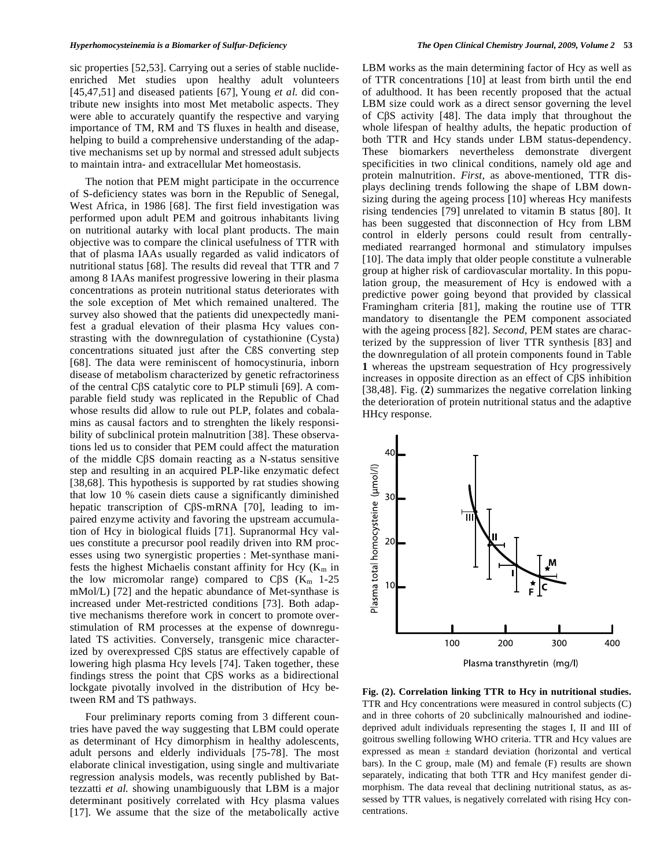sic properties [52,53]. Carrying out a series of stable nuclideenriched Met studies upon healthy adult volunteers [45,47,51] and diseased patients [67], Young *et al.* did contribute new insights into most Met metabolic aspects. They were able to accurately quantify the respective and varying importance of TM, RM and TS fluxes in health and disease, helping to build a comprehensive understanding of the adaptive mechanisms set up by normal and stressed adult subjects to maintain intra- and extracellular Met homeostasis.

 The notion that PEM might participate in the occurrence of S-deficiency states was born in the Republic of Senegal, West Africa, in 1986 [68]. The first field investigation was performed upon adult PEM and goitrous inhabitants living on nutritional autarky with local plant products. The main objective was to compare the clinical usefulness of TTR with that of plasma IAAs usually regarded as valid indicators of nutritional status [68]. The results did reveal that TTR and 7 among 8 IAAs manifest progressive lowering in their plasma concentrations as protein nutritional status deteriorates with the sole exception of Met which remained unaltered. The survey also showed that the patients did unexpectedly manifest a gradual elevation of their plasma Hcy values constrasting with the downregulation of cystathionine (Cysta) concentrations situated just after the CßS converting step [68]. The data were reminiscent of homocystinuria, inborn disease of metabolism characterized by genetic refractoriness of the central CβS catalytic core to PLP stimuli [69]. A comparable field study was replicated in the Republic of Chad whose results did allow to rule out PLP, folates and cobalamins as causal factors and to strenghten the likely responsibility of subclinical protein malnutrition [38]. These observations led us to consider that PEM could affect the maturation of the middle CS domain reacting as a N-status sensitive step and resulting in an acquired PLP-like enzymatic defect [38,68]. This hypothesis is supported by rat studies showing that low 10 % casein diets cause a significantly diminished hepatic transcription of C $\beta$ S-mRNA [70], leading to impaired enzyme activity and favoring the upstream accumulation of Hcy in biological fluids [71]. Supranormal Hcy values constitute a precursor pool readily driven into RM processes using two synergistic properties : Met-synthase manifests the highest Michaelis constant affinity for Hcy  $(K<sub>m</sub>$  in the low micromolar range) compared to  $C\beta S$  ( $K_m$  1-25 mMol/L) [72] and the hepatic abundance of Met-synthase is increased under Met-restricted conditions [73]. Both adaptive mechanisms therefore work in concert to promote overstimulation of RM processes at the expense of downregulated TS activities. Conversely, transgenic mice characterized by overexpressed C $\beta$ S status are effectively capable of lowering high plasma Hcy levels [74]. Taken together, these findings stress the point that C $\beta S$  works as a bidirectional lockgate pivotally involved in the distribution of Hcy between RM and TS pathways.

 Four preliminary reports coming from 3 different countries have paved the way suggesting that LBM could operate as determinant of Hcy dimorphism in healthy adolescents, adult persons and elderly individuals [75-78]. The most elaborate clinical investigation, using single and multivariate regression analysis models, was recently published by Battezzatti *et al.* showing unambiguously that LBM is a major determinant positively correlated with Hcy plasma values [17]. We assume that the size of the metabolically active LBM works as the main determining factor of Hcy as well as of TTR concentrations [10] at least from birth until the end of adulthood. It has been recently proposed that the actual LBM size could work as a direct sensor governing the level of CS activity [48]. The data imply that throughout the whole lifespan of healthy adults, the hepatic production of both TTR and Hcy stands under LBM status-dependency. These biomarkers nevertheless demonstrate divergent specificities in two clinical conditions, namely old age and protein malnutrition. *First*, as above-mentioned, TTR displays declining trends following the shape of LBM downsizing during the ageing process [10] whereas Hcy manifests rising tendencies [79] unrelated to vitamin B status [80]. It has been suggested that disconnection of Hcy from LBM control in elderly persons could result from centrallymediated rearranged hormonal and stimulatory impulses [10]. The data imply that older people constitute a vulnerable group at higher risk of cardiovascular mortality. In this population group, the measurement of Hcy is endowed with a predictive power going beyond that provided by classical Framingham criteria [81], making the routine use of TTR mandatory to disentangle the PEM component associated with the ageing process [82]. *Second*, PEM states are characterized by the suppression of liver TTR synthesis [83] and the downregulation of all protein components found in Table **1** whereas the upstream sequestration of Hcy progressively increases in opposite direction as an effect of C $\beta S$  inhibition [38,48]. Fig. (**2**) summarizes the negative correlation linking the deterioration of protein nutritional status and the adaptive HHcy response.



**Fig. (2). Correlation linking TTR to Hcy in nutritional studies.** TTR and Hcy concentrations were measured in control subjects (C) and in three cohorts of 20 subclinically malnourished and iodinedeprived adult individuals representing the stages I, II and III of goitrous swelling following WHO criteria. TTR and Hcy values are expressed as mean ± standard deviation (horizontal and vertical bars). In the C group, male (M) and female (F) results are shown separately, indicating that both TTR and Hcy manifest gender dimorphism. The data reveal that declining nutritional status, as assessed by TTR values, is negatively correlated with rising Hcy concentrations.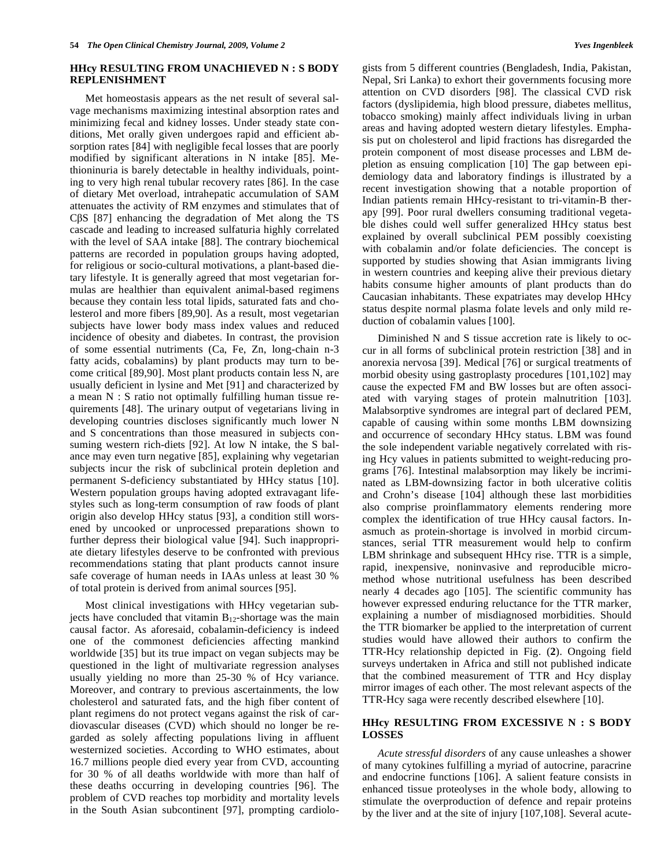# **HHcy RESULTING FROM UNACHIEVED N : S BODY REPLENISHMENT**

 Met homeostasis appears as the net result of several salvage mechanisms maximizing intestinal absorption rates and minimizing fecal and kidney losses. Under steady state conditions, Met orally given undergoes rapid and efficient absorption rates [84] with negligible fecal losses that are poorly modified by significant alterations in N intake [85]. Methioninuria is barely detectable in healthy individuals, pointing to very high renal tubular recovery rates [86]. In the case of dietary Met overload, intrahepatic accumulation of SAM attenuates the activity of RM enzymes and stimulates that of C $\beta$ S [87] enhancing the degradation of Met along the TS cascade and leading to increased sulfaturia highly correlated with the level of SAA intake [88]. The contrary biochemical patterns are recorded in population groups having adopted, for religious or socio-cultural motivations, a plant-based dietary lifestyle. It is generally agreed that most vegetarian formulas are healthier than equivalent animal-based regimens because they contain less total lipids, saturated fats and cholesterol and more fibers [89,90]. As a result, most vegetarian subjects have lower body mass index values and reduced incidence of obesity and diabetes. In contrast, the provision of some essential nutriments (Ca, Fe, Zn, long-chain n-3 fatty acids, cobalamins) by plant products may turn to become critical [89,90]. Most plant products contain less N, are usually deficient in lysine and Met [91] and characterized by a mean N : S ratio not optimally fulfilling human tissue requirements [48]. The urinary output of vegetarians living in developing countries discloses significantly much lower N and S concentrations than those measured in subjects consuming western rich-diets [92]. At low N intake, the S balance may even turn negative [85], explaining why vegetarian subjects incur the risk of subclinical protein depletion and permanent S-deficiency substantiated by HHcy status [10]. Western population groups having adopted extravagant lifestyles such as long-term consumption of raw foods of plant origin also develop HHcy status [93], a condition still worsened by uncooked or unprocessed preparations shown to further depress their biological value [94]. Such inappropriate dietary lifestyles deserve to be confronted with previous recommendations stating that plant products cannot insure safe coverage of human needs in IAAs unless at least 30 % of total protein is derived from animal sources [95].

 Most clinical investigations with HHcy vegetarian subjects have concluded that vitamin  $B_{12}$ -shortage was the main causal factor. As aforesaid, cobalamin-deficiency is indeed one of the commonest deficiencies affecting mankind worldwide [35] but its true impact on vegan subjects may be questioned in the light of multivariate regression analyses usually yielding no more than 25-30 % of Hcy variance. Moreover, and contrary to previous ascertainments, the low cholesterol and saturated fats, and the high fiber content of plant regimens do not protect vegans against the risk of cardiovascular diseases (CVD) which should no longer be regarded as solely affecting populations living in affluent westernized societies. According to WHO estimates, about 16.7 millions people died every year from CVD, accounting for 30 % of all deaths worldwide with more than half of these deaths occurring in developing countries [96]. The problem of CVD reaches top morbidity and mortality levels in the South Asian subcontinent [97], prompting cardiologists from 5 different countries (Bengladesh, India, Pakistan, Nepal, Sri Lanka) to exhort their governments focusing more attention on CVD disorders [98]. The classical CVD risk factors (dyslipidemia, high blood pressure, diabetes mellitus, tobacco smoking) mainly affect individuals living in urban areas and having adopted western dietary lifestyles. Emphasis put on cholesterol and lipid fractions has disregarded the protein component of most disease processes and LBM depletion as ensuing complication [10] The gap between epidemiology data and laboratory findings is illustrated by a recent investigation showing that a notable proportion of Indian patients remain HHcy-resistant to tri-vitamin-B therapy [99]. Poor rural dwellers consuming traditional vegetable dishes could well suffer generalized HHcy status best explained by overall subclinical PEM possibly coexisting with cobalamin and/or folate deficiencies. The concept is supported by studies showing that Asian immigrants living in western countries and keeping alive their previous dietary habits consume higher amounts of plant products than do Caucasian inhabitants. These expatriates may develop HHcy status despite normal plasma folate levels and only mild reduction of cobalamin values [100].

 Diminished N and S tissue accretion rate is likely to occur in all forms of subclinical protein restriction [38] and in anorexia nervosa [39]. Medical [76] or surgical treatments of morbid obesity using gastroplasty procedures [101,102] may cause the expected FM and BW losses but are often associated with varying stages of protein malnutrition [103]. Malabsorptive syndromes are integral part of declared PEM, capable of causing within some months LBM downsizing and occurrence of secondary HHcy status. LBM was found the sole independent variable negatively correlated with rising Hcy values in patients submitted to weight-reducing programs [76]. Intestinal malabsorption may likely be incriminated as LBM-downsizing factor in both ulcerative colitis and Crohn's disease [104] although these last morbidities also comprise proinflammatory elements rendering more complex the identification of true HHcy causal factors. Inasmuch as protein-shortage is involved in morbid circumstances, serial TTR measurement would help to confirm LBM shrinkage and subsequent HHcy rise. TTR is a simple, rapid, inexpensive, noninvasive and reproducible micromethod whose nutritional usefulness has been described nearly 4 decades ago [105]. The scientific community has however expressed enduring reluctance for the TTR marker, explaining a number of misdiagnosed morbidities. Should the TTR biomarker be applied to the interpretation of current studies would have allowed their authors to confirm the TTR-Hcy relationship depicted in Fig. (**2**). Ongoing field surveys undertaken in Africa and still not published indicate that the combined measurement of TTR and Hcy display mirror images of each other. The most relevant aspects of the TTR-Hcy saga were recently described elsewhere [10].

# **HHcy RESULTING FROM EXCESSIVE N : S BODY LOSSES**

 *Acute stressful disorders* of any cause unleashes a shower of many cytokines fulfilling a myriad of autocrine, paracrine and endocrine functions [106]. A salient feature consists in enhanced tissue proteolyses in the whole body, allowing to stimulate the overproduction of defence and repair proteins by the liver and at the site of injury [107,108]. Several acute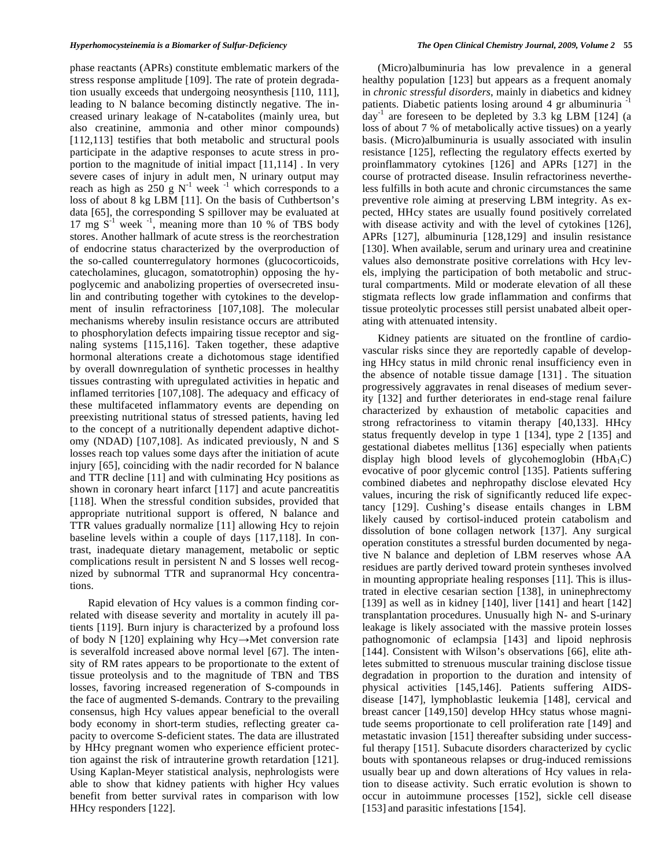phase reactants (APRs) constitute emblematic markers of the stress response amplitude [109]. The rate of protein degradation usually exceeds that undergoing neosynthesis [110, 111], leading to N balance becoming distinctly negative. The increased urinary leakage of N-catabolites (mainly urea, but also creatinine, ammonia and other minor compounds) [112,113] testifies that both metabolic and structural pools participate in the adaptive responses to acute stress in proportion to the magnitude of initial impact [11,114] . In very severe cases of injury in adult men, N urinary output may reach as high as 250 g  $N^{-1}$  week  $^{-1}$  which corresponds to a loss of about 8 kg LBM [11]. On the basis of Cuthbertson's data [65], the corresponding S spillover may be evaluated at 17 mg  $S^{-1}$  week  $^{-1}$ , meaning more than 10 % of TBS body stores. Another hallmark of acute stress is the reorchestration of endocrine status characterized by the overproduction of the so-called counterregulatory hormones (glucocorticoids, catecholamines, glucagon, somatotrophin) opposing the hypoglycemic and anabolizing properties of oversecreted insulin and contributing together with cytokines to the development of insulin refractoriness [107,108]. The molecular mechanisms whereby insulin resistance occurs are attributed to phosphorylation defects impairing tissue receptor and signaling systems [115,116]. Taken together, these adaptive hormonal alterations create a dichotomous stage identified by overall downregulation of synthetic processes in healthy tissues contrasting with upregulated activities in hepatic and inflamed territories [107,108]. The adequacy and efficacy of these multifaceted inflammatory events are depending on preexisting nutritional status of stressed patients, having led to the concept of a nutritionally dependent adaptive dichotomy (NDAD) [107,108]. As indicated previously, N and S losses reach top values some days after the initiation of acute injury [65], coinciding with the nadir recorded for N balance and TTR decline [11] and with culminating Hcy positions as shown in coronary heart infarct [117] and acute pancreatitis [118]. When the stressful condition subsides, provided that appropriate nutritional support is offered, N balance and TTR values gradually normalize [11] allowing Hcy to rejoin baseline levels within a couple of days [117,118]. In contrast, inadequate dietary management, metabolic or septic complications result in persistent N and S losses well recognized by subnormal TTR and supranormal Hcy concentrations.

 Rapid elevation of Hcy values is a common finding correlated with disease severity and mortality in acutely ill patients [119]. Burn injury is characterized by a profound loss of body N [120] explaining why Hcy $\rightarrow$ Met conversion rate is severalfold increased above normal level [67]. The intensity of RM rates appears to be proportionate to the extent of tissue proteolysis and to the magnitude of TBN and TBS losses, favoring increased regeneration of S-compounds in the face of augmented S-demands. Contrary to the prevailing consensus, high Hcy values appear beneficial to the overall body economy in short-term studies, reflecting greater capacity to overcome S-deficient states. The data are illustrated by HHcy pregnant women who experience efficient protection against the risk of intrauterine growth retardation [121]. Using Kaplan-Meyer statistical analysis, nephrologists were able to show that kidney patients with higher Hcy values benefit from better survival rates in comparison with low HHcy responders [122].

 (Micro)albuminuria has low prevalence in a general healthy population [123] but appears as a frequent anomaly in *chronic stressful disorders*, mainly in diabetics and kidney patients. Diabetic patients losing around 4 gr albuminuria  $day^{-1}$  are foreseen to be depleted by 3.3 kg LBM [124] (a loss of about 7 % of metabolically active tissues) on a yearly basis. (Micro)albuminuria is usually associated with insulin resistance [125], reflecting the regulatory effects exerted by proinflammatory cytokines [126] and APRs [127] in the course of protracted disease. Insulin refractoriness nevertheless fulfills in both acute and chronic circumstances the same preventive role aiming at preserving LBM integrity. As expected, HHcy states are usually found positively correlated with disease activity and with the level of cytokines [126], APRs [127], albuminuria [128,129] and insulin resistance [130]. When available, serum and urinary urea and creatinine values also demonstrate positive correlations with Hcy levels, implying the participation of both metabolic and structural compartments. Mild or moderate elevation of all these stigmata reflects low grade inflammation and confirms that tissue proteolytic processes still persist unabated albeit operating with attenuated intensity.

 Kidney patients are situated on the frontline of cardiovascular risks since they are reportedly capable of developing HHcy status in mild chronic renal insufficiency even in the absence of notable tissue damage [131] . The situation progressively aggravates in renal diseases of medium severity [132] and further deteriorates in end-stage renal failure characterized by exhaustion of metabolic capacities and strong refractoriness to vitamin therapy [40,133]. HHcy status frequently develop in type 1 [134], type 2 [135] and gestational diabetes mellitus [136] especially when patients display high blood levels of glycohemoglobin  $(HbA_1C)$ evocative of poor glycemic control [135]. Patients suffering combined diabetes and nephropathy disclose elevated Hcy values, incuring the risk of significantly reduced life expectancy [129]. Cushing's disease entails changes in LBM likely caused by cortisol-induced protein catabolism and dissolution of bone collagen network [137]. Any surgical operation constitutes a stressful burden documented by negative N balance and depletion of LBM reserves whose AA residues are partly derived toward protein syntheses involved in mounting appropriate healing responses [11]. This is illustrated in elective cesarian section [138], in uninephrectomy [139] as well as in kidney [140], liver [141] and heart  $[142]$ transplantation procedures. Unusually high N- and S-urinary leakage is likely associated with the massive protein losses pathognomonic of eclampsia [143] and lipoid nephrosis [144]. Consistent with Wilson's observations [66], elite athletes submitted to strenuous muscular training disclose tissue degradation in proportion to the duration and intensity of physical activities [145,146]. Patients suffering AIDSdisease [147], lymphoblastic leukemia [148], cervical and breast cancer [149,150] develop HHcy status whose magnitude seems proportionate to cell proliferation rate [149] and metastatic invasion [151] thereafter subsiding under successful therapy [151]. Subacute disorders characterized by cyclic bouts with spontaneous relapses or drug-induced remissions usually bear up and down alterations of Hcy values in relation to disease activity. Such erratic evolution is shown to occur in autoimmune processes [152], sickle cell disease [153] and parasitic infestations [154].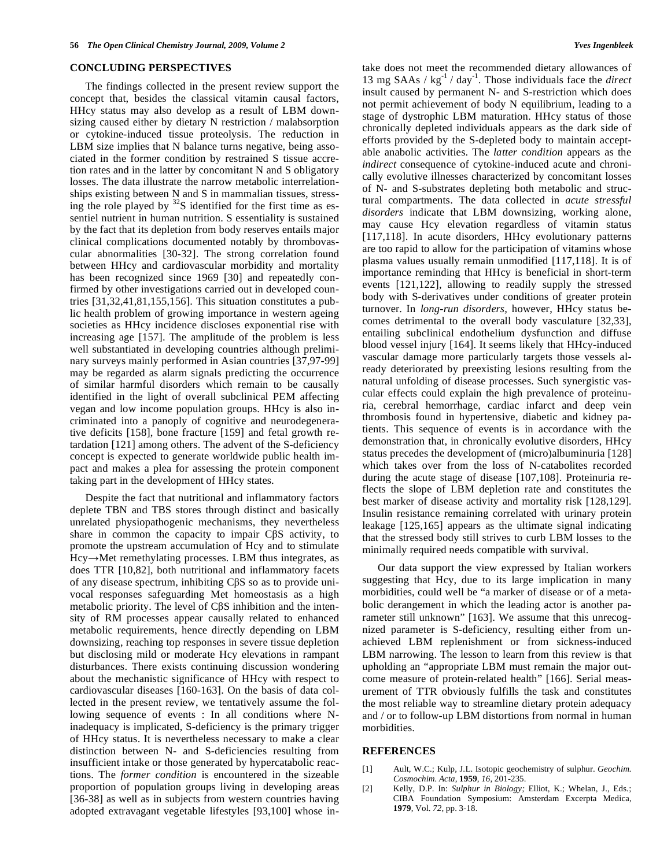#### **CONCLUDING PERSPECTIVES**

 The findings collected in the present review support the concept that, besides the classical vitamin causal factors, HHcy status may also develop as a result of LBM downsizing caused either by dietary N restriction / malabsorption or cytokine-induced tissue proteolysis. The reduction in LBM size implies that N balance turns negative, being associated in the former condition by restrained S tissue accretion rates and in the latter by concomitant N and S obligatory losses. The data illustrate the narrow metabolic interrelationships existing between N and S in mammalian tissues, stressing the role played by  $32S$  identified for the first time as essentiel nutrient in human nutrition. S essentiality is sustained by the fact that its depletion from body reserves entails major clinical complications documented notably by thrombovascular abnormalities [30-32]. The strong correlation found between HHcy and cardiovascular morbidity and mortality has been recognized since 1969 [30] and repeatedly confirmed by other investigations carried out in developed countries [31,32,41,81,155,156]. This situation constitutes a public health problem of growing importance in western ageing societies as HHcy incidence discloses exponential rise with increasing age [157]. The amplitude of the problem is less well substantiated in developing countries although preliminary surveys mainly performed in Asian countries [37,97-99] may be regarded as alarm signals predicting the occurrence of similar harmful disorders which remain to be causally identified in the light of overall subclinical PEM affecting vegan and low income population groups. HHcy is also incriminated into a panoply of cognitive and neurodegenerative deficits [158], bone fracture [159] and fetal growth retardation [121] among others. The advent of the S-deficiency concept is expected to generate worldwide public health impact and makes a plea for assessing the protein component taking part in the development of HHcy states.

 Despite the fact that nutritional and inflammatory factors deplete TBN and TBS stores through distinct and basically unrelated physiopathogenic mechanisms, they nevertheless share in common the capacity to impair  $C\beta S$  activity, to promote the upstream accumulation of Hcy and to stimulate  $Hcy \rightarrow Met$  remethylating processes. LBM thus integrates, as does TTR [10,82], both nutritional and inflammatory facets of any disease spectrum, inhibiting C $\beta S$  so as to provide univocal responses safeguarding Met homeostasis as a high metabolic priority. The level of  $C\beta S$  inhibition and the intensity of RM processes appear causally related to enhanced metabolic requirements, hence directly depending on LBM downsizing, reaching top responses in severe tissue depletion but disclosing mild or moderate Hcy elevations in rampant disturbances. There exists continuing discussion wondering about the mechanistic significance of HHcy with respect to cardiovascular diseases [160-163]. On the basis of data collected in the present review, we tentatively assume the following sequence of events : In all conditions where Ninadequacy is implicated, S-deficiency is the primary trigger of HHcy status. It is nevertheless necessary to make a clear distinction between N- and S-deficiencies resulting from insufficient intake or those generated by hypercatabolic reactions. The *former condition* is encountered in the sizeable proportion of population groups living in developing areas [36-38] as well as in subjects from western countries having adopted extravagant vegetable lifestyles [93,100] whose intake does not meet the recommended dietary allowances of 13 mg SAAs / kg-1 / day-1. Those individuals face the *direct* insult caused by permanent N- and S-restriction which does not permit achievement of body N equilibrium, leading to a stage of dystrophic LBM maturation. HHcy status of those chronically depleted individuals appears as the dark side of efforts provided by the S-depleted body to maintain acceptable anabolic activities. The *latter condition* appears as the *indirect* consequence of cytokine-induced acute and chronically evolutive illnesses characterized by concomitant losses of N- and S-substrates depleting both metabolic and structural compartments. The data collected in *acute stressful disorders* indicate that LBM downsizing, working alone, may cause Hcy elevation regardless of vitamin status [117,118]. In acute disorders, HHcy evolutionary patterns are too rapid to allow for the participation of vitamins whose plasma values usually remain unmodified [117,118]. It is of importance reminding that HHcy is beneficial in short-term events [121,122], allowing to readily supply the stressed body with S-derivatives under conditions of greater protein turnover. In *long-run disorders,* however, HHcy status becomes detrimental to the overall body vasculature [32,33], entailing subclinical endothelium dysfunction and diffuse blood vessel injury [164]. It seems likely that HHcy-induced vascular damage more particularly targets those vessels already deteriorated by preexisting lesions resulting from the natural unfolding of disease processes. Such synergistic vascular effects could explain the high prevalence of proteinuria, cerebral hemorrhage, cardiac infarct and deep vein thrombosis found in hypertensive, diabetic and kidney patients. This sequence of events is in accordance with the demonstration that, in chronically evolutive disorders, HHcy status precedes the development of (micro)albuminuria [128] which takes over from the loss of N-catabolites recorded during the acute stage of disease [107,108]. Proteinuria reflects the slope of LBM depletion rate and constitutes the best marker of disease activity and mortality risk [128,129]. Insulin resistance remaining correlated with urinary protein leakage [125,165] appears as the ultimate signal indicating that the stressed body still strives to curb LBM losses to the minimally required needs compatible with survival.

 Our data support the view expressed by Italian workers suggesting that Hcy, due to its large implication in many morbidities, could well be "a marker of disease or of a metabolic derangement in which the leading actor is another parameter still unknown" [163]. We assume that this unrecognized parameter is S-deficiency, resulting either from unachieved LBM replenishment or from sickness-induced LBM narrowing. The lesson to learn from this review is that upholding an "appropriate LBM must remain the major outcome measure of protein-related health" [166]. Serial measurement of TTR obviously fulfills the task and constitutes the most reliable way to streamline dietary protein adequacy and / or to follow-up LBM distortions from normal in human morbidities.

#### **REFERENCES**

- [1] Ault, W.C.; Kulp, J.L. Isotopic geochemistry of sulphur. *Geochim. Cosmochim. Acta*, **1959**, *16*, 201-235.
- [2] Kelly, D.P. In: *Sulphur in Biology;* Elliot, K.; Whelan, J., Eds.; CIBA Foundation Symposium: Amsterdam Excerpta Medica, **1979**, Vol. *72*, pp. 3-18.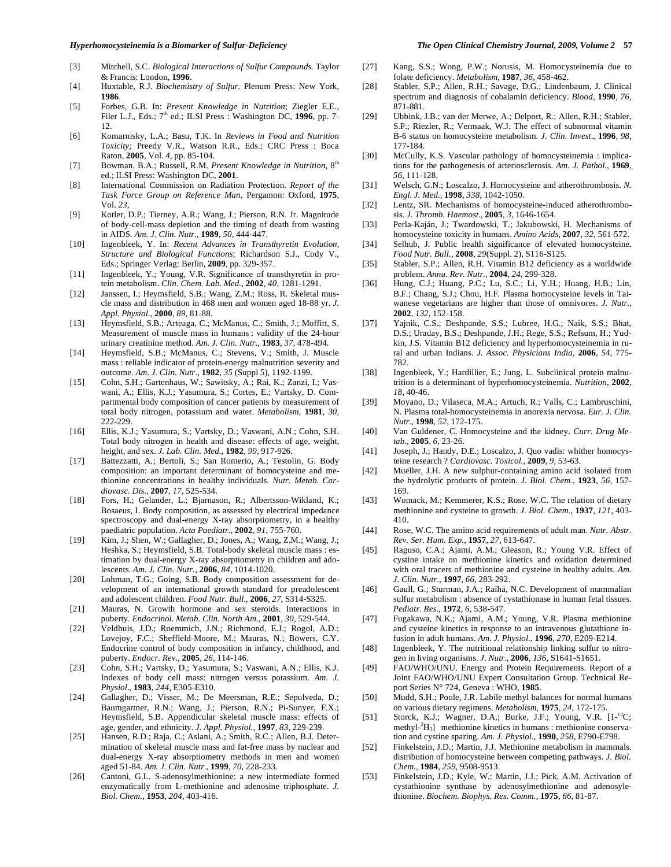#### *Hyperhomocysteinemia is a Biomarker of Sulfur-Deficiency The Open Clinical Chemistry Journal, 2009, Volume 2* **57**

- [3] Mitchell, S.C. *Biological Interactions of Sulfur Compounds*. Taylor & Francis: London, **1996**.
- [4] Huxtable, R.J. *Biochemistry of Sulfur.* Plenum Press: New York, **1986**.
- [5] Forbes, G.B. In: *Present Knowledge in Nutrition*; Ziegler E.E., Filer L.J., Eds.;  $7<sup>th</sup>$  ed.; ILSI Press : Washington DC, 1996, pp. 7-12.
- [6] Komarnisky, L.A.; Basu, T.K. In *Reviews in Food and Nutrition Toxicity;* Preedy V.R., Watson R.R., Eds.; CRC Press : Boca Raton, **2005**, Vol. *4*, pp. 85-104.
- [7] Bowman, B.A.; Russell, R.M. *Present Knowledge in Nutrition*,  $8<sup>th</sup>$ ed.; ILSI Press: Washington DC, **2001**.
- [8] International Commission on Radiation Protection. *Report of the Task Force Group on Reference Man*, Pergamon: Oxford, **1975**, Vol. *23*,
- [9] Kotler, D.P.; Tierney, A.R.; Wang, J.; Pierson, R.N. Jr. Magnitude of body-cell-mass depletion and the timing of death from wasting in AIDS. *Am. J. Clin. Nutr.,* **1989**, *50*, 444-447.
- [10] Ingenbleek, Y. In: *Recent Advances in Transthyretin Evolution, Structure and Biological Functions*; Richardson S.J., Cody V., Eds.; Springer Verlag: Berlin, **2009**, pp. 329-357.
- [11] Ingenbleek, Y.; Young, V.R. Significance of transthyretin in protein metabolism. *Clin. Chem. Lab. Med.,* **2002**, *40*, 1281-1291.
- [12] Janssen, I.; Heymsfield, S.B.; Wang, Z.M.; Ross, R. Skeletal muscle mass and distribution in 468 men and women aged 18-88 yr. *J. Appl. Physiol*., **2000**, *89*, 81-88.
- [13] Heymsfield, S.B.; Arteaga, C.; McManus, C.; Smith, J.; Moffitt, S. Measurement of muscle mass in humans : validity of the 24-hour urinary creatinine method. *Am. J. Clin. Nutr.,* **1983**, *37*, 478-494.
- [14] Heymsfield, S.B.; McManus, C.; Stevens, V.; Smith, J. Muscle mass : reliable indicator of protein-energy malnutrition severity and outcome. *Am. J. Clin. Nutr*., **1982**, *35* (Suppl 5), 1192-1199.
- [15] Cohn, S.H.; Gartenhaus, W.; Sawitsky, A.; Rai, K.; Zanzi, I.; Vaswani, A.; Ellis, K.J.; Yasumura, S.; Cortes, E.; Vartsky, D. Compartmental body composition of cancer patients by measurement of total body nitrogen, potassium and water. *Metabolism*, **1981**, *30*, 222-229.
- [16] Ellis, K.J.; Yasumura, S.; Vartsky, D.; Vaswani, A.N.; Cohn, S.H. Total body nitrogen in health and disease: effects of age, weight, height, and sex. *J. Lab. Clin. Med.,* **1982**, *99*, 917-926.
- [17] Battezzatti, A.; Bertoli, S.; San Romerio, A.; Testolin, G. Body composition: an important determinant of homocysteine and methionine concentrations in healthy individuals. *Nutr. Metab. Cardiovasc. Dis.,* **2007**, *17*, 525-534.
- [18] Fors, H.; Gelander, L.; Bjarnason, R.; Albertsson-Wikland, K.; Bosaeus, I. Body composition, as assessed by electrical impedance spectroscopy and dual-energy X-ray absorptiometry, in a healthy paediatric population. *Acta Paediatr.,* **2002**, *91*, 755-760.
- [19] Kim, J.; Shen, W.; Gallagher, D.; Jones, A.; Wang, Z.M.; Wang, J.; Heshka, S.; Heymsfield, S.B. Total-body skeletal muscle mass : estimation by dual-energy X-ray absorptiometry in children and adolescents. *Am. J. Clin. Nutr.,* **2006**, *84*, 1014-1020.
- [20] Lohman, T.G.; Going, S.B. Body composition assessment for development of an international growth standard for preadolescent and adolescent children. *Food Nutr. Bull*., **2006**, *27*, S314-S325.
- [21] Mauras, N. Growth hormone and sex steroids. Interactions in puberty. *Endocrinol. Metab. Clin. North Am.,* **2001**, *30,* 529-544.
- [22] Veldhuis, J.D.; Roemmich, J.N.; Richmond, E.J.; Rogol, A.D.; Lovejoy, F.C.; Sheffield-Moore, M.; Mauras, N.; Bowers, C.Y. Endocrine control of body composition in infancy, childhood, and puberty. *Endocr. Rev*., **2005**, *26*, 114-146.
- [23] Cohn, S.H.; Vartsky, D.; Yasumura, S.; Vaswani, A.N.; Ellis, K.J. Indexes of body cell mass: nitrogen versus potassium. *Am. J. Physiol*., **1983**, *244*, E305-E310.
- [24] Gallagher, D.; Visser, M.; De Meersman, R.E.; Sepulveda, D.; Baumgartner, R.N.; Wang, J.; Pierson, R.N.; Pi-Sunyer, F.X.; Heymsfield, S.B. Appendicular skeletal muscle mass: effects of age, gender, and ethnicity. *J. Appl. Physiol*., **1997**, *83*, 229-239.
- [25] Hansen, R.D.; Raja, C.; Aslani, A.; Smith, R.C.; Allen, B.J. Determination of skeletal muscle mass and fat-free mass by nuclear and dual-energy X-ray absorptiometry methods in men and women aged 51-84. *Am. J. Clin. Nutr*., **1999**, *70*, 228-233.
- [26] Cantoni, G.L. S-adenosylmethionine: a new intermediate formed enzymatically from L-methionine and adenosine triphosphate. *J. Biol. Chem.*, **1953**, *204,* 403-416.
- [27] Kang, S.S.; Wong, P.W.; Norusis, M. Homocysteinemia due to folate deficiency. *Metabolism,* **1987**, *36*, 458-462.
- [28] Stabler, S.P.; Allen, R.H.; Savage, D.G.; Lindenbaum, J. Clinical spectrum and diagnosis of cobalamin deficiency. *Blood,* **1990**, *76,*  871-881.
- [29] Ubbink, J.B.; van der Merwe, A.; Delport, R.; Allen, R.H.; Stabler, S.P.; Riezler, R.; Vermaak, W.J. The effect of subnormal vitamin B-6 status on homocysteine metabolism*. J. Clin. Invest*., **1996**, *98*, 177-184.
- [30] McCully, K.S. Vascular pathology of homocysteinemia : implications for the pathogenesis of arteriosclerosis. *Am. J. Pathol.,* **1969**, *56,* 111-128.
- [31] Welsch, G.N.; Loscalzo, J. Homocysteine and atherothrombosis. *N*. *Engl. J. Med.,* **1998**, *338,* 1042-1050.
- [32] Lentz, SR. Mechanisms of homocysteine-induced atherothrombosis. *J. Thromb. Haemost.,* **2005**, *3,* 1646-1654.
- [33] Perla-Kaján, J.; Twardowski, T.; Jakubowski, H. Mechanisms of homocysteine toxicity in humans. *Amino Acids,* **2007**, *32*, 561-572.
- [34] Selhub, J. Public health significance of elevated homocysteine. *Food Nutr. Bull*., **2008**, *29*(Suppl. 2), S116-S125.
- [35] Stabler, S.P.; Allen, R.H. Vitamin B12 deficiency as a worldwide problem. *Annu. Rev. Nutr.,* **2004**, *24*, 299-328.
- [36] Hung, C.J.; Huang, P.C.; Lu, S.C.; Li, Y.H.; Huang, H.B.; Lin, B.F.; Chang, S.J.; Chou, H.F. Plasma homocysteine levels in Taiwanese vegetarians are higher than those of omnivores. *J. Nutr.,* **2002**, *132,* 152-158.
- [37] Yajnik, C.S.; Deshpande, S.S.; Lubree, H.G.; Naik, S.S.; Bhat, D.S.; Uraday, B.S.; Deshpande, J.H.; Rege, S.S.; Refsum, H.; Yudkin, J.S. Vitamin B12 deficiency and hyperhomocysteinemia in rural and urban Indians. *J. Assoc. Physicians India,* **2006**, *54*, 775- 782.
- [38] Ingenbleek, Y.; Hardillier, E.; Jung, L. Subclinical protein malnutrition is a determinant of hyperhomocysteinemia. *Nutrition,* **2002**, *18,* 40-46.
- [39] Moyano, D.; Vilaseca, M.A.; Artuch, R.; Valls, C.; Lambruschini, N. Plasma total-homocysteinemia in anorexia nervosa. *Eur. J. Clin. Nutr.,* **1998**, *52,* 172-175.
- [40] Van Guldener, C. Homocysteine and the kidney. *Curr. Drug Metab.,* **2005***, 6,* 23-26.
- [41] Joseph, J.; Handy, D.E.; Loscalzo, J. Quo vadis: whither homocysteine research ? *Cardiovasc. Toxicol.,* **2009***, 9,* 53-63.
- [42] Mueller, J.H. A new sulphur-containing amino acid isolated from the hydrolytic products of protein. *J. Biol. Chem.,* **1923**, *56*, 157- 169.
- [43] Womack, M.; Kemmerer, K.S.; Rose, W.C. The relation of dietary methionine and cysteine to growth. *J. Biol. Chem.,* **1937**, *121*, 403- 410.
- [44] Rose, W.C. The amino acid requirements of adult man. *Nutr. Abstr. Rev. Ser. Hum. Exp.,* **1957**, *27,* 613-647.
- [45] Raguso, C.A.; Ajami, A.M.; Gleason, R.; Young V.R. Effect of cystine intake on methionine kinetics and oxidation determined with oral tracers of methionine and cysteine in healthy adults. *Am. J. Clin. Nutr*., **1997***, 66,* 283-292.
- [46] Gaull, G.; Sturman, J.A.; Raïhä, N.C. Development of mammalian sulfur metabolism : absence of cystathionase in human fetal tissues. *Pediatr. Res.,* **1972**, *6*, 538-547.
- [47] Fugakawa, N.K.; Ajami, A.M.; Young, V.R. Plasma methionine and cysteine kinetics in response to an intravenous glutathione infusion in adult humans. *Am. J. Physiol*., **1996**, *270,* E209-E214.
- [48] Ingenbleek, Y. The nutritional relationship linking sulfur to nitrogen in living organisms. *J. Nutr.,* **2006**, *136,* S1641-S1651.
- [49] FAO/WHO/UNU. Energy and Protein Requirements. Report of a Joint FAO/WHO/UNU Expert Consultation Group. Technical Report Series N° 724, Geneva : WHO, **1985**.
- [50] Mudd, S.H.; Poole, J.R. Labile methyl balances for normal humans on various dietary regimens. *Metabolism,* **1975**, *24*, 172-175.
- [51] Storck, K.J.; Wagner, D.A.; Burke, J.F.; Young, V.R. [1-<sup>13</sup>C; methyl-<sup>2</sup>H<sub>3</sub>] methionine kinetics in humans : methionine conservation and cystine sparing. *Am. J. Physiol*., **1990**, *258,* E790-E798.
- [52] Finkelstein, J.D.; Martin, J.J. Methionine metabolism in mammals. distribution of homocysteine between competing pathways. *J. Biol. Chem.,* **1984**, *259*, 9508-9513.
- [53] Finkelstein, J.D.; Kyle, W.; Martin, J.J.; Pick, A.M. Activation of cystathionine synthase by adenosylmethionine and adenosylethionine. *Biochem. Biophys. Res. Comm.*, **1975**, *66*, 81-87.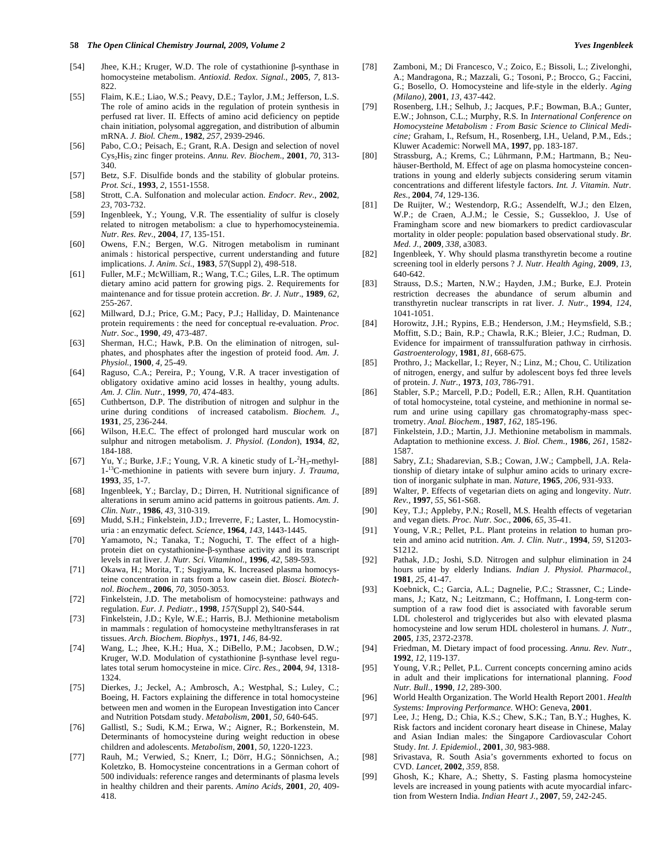- [54] Jhee, K.H.; Kruger, W.D. The role of cystathionine  $\beta$ -synthase in homocysteine metabolism. *Antioxid. Redox. Signal.,* **2005**, *7,* 813- 822.
- [55] Flaim, K.E.; Liao, W.S.; Peavy, D.E.; Taylor, J.M.; Jefferson, L.S. The role of amino acids in the regulation of protein synthesis in perfused rat liver. II. Effects of amino acid deficiency on peptide chain initiation, polysomal aggregation, and distribution of albumin mRNA. *J. Biol. Chem.,* **1982**, *257*, 2939-2946.
- [56] Pabo, C.O.; Peisach, E.; Grant, R.A. Design and selection of novel Cys2His2 zinc finger proteins. *Annu. Rev. Biochem.,* **2001**, *70,* 313- 340.
- [57] Betz, S.F. Disulfide bonds and the stability of globular proteins. *Prot. Sci.,* **1993**, *2,* 1551-1558.
- [58] Strott, C.A. Sulfonation and molecular action. *Endocr. Rev.,* **2002**, *23,* 703-732.
- [59] Ingenbleek, Y.; Young, V.R. The essentiality of sulfur is closely related to nitrogen metabolism: a clue to hyperhomocysteinemia. *Nutr. Res. Rev.,* **2004**, *17,* 135-151.
- [60] Owens, F.N.; Bergen, W.G. Nitrogen metabolism in ruminant animals : historical perspective, current understanding and future implications. *J. Anim. Sci.,* **1983**, *57*(Suppl 2), 498-518.
- [61] Fuller, M.F.; McWilliam, R.; Wang, T.C.; Giles, L.R. The optimum dietary amino acid pattern for growing pigs. 2. Requirements for maintenance and for tissue protein accretion. *Br. J. Nutr*., **1989**, *62,* 255-267.
- [62] Millward, D.J.; Price, G.M.; Pacy, P.J.; Halliday, D. Maintenance protein requirements : the need for conceptual re-evaluation. *Proc. Nutr. Soc*., **1990**, *49*, 473-487.
- [63] Sherman, H.C.; Hawk, P.B. On the elimination of nitrogen, sulphates, and phosphates after the ingestion of proteid food. *Am. J. Physiol.,* **1900**, *4,* 25-49.
- [64] Raguso, C.A.; Pereira, P.; Young, V.R. A tracer investigation of obligatory oxidative amino acid losses in healthy, young adults. *Am. J. Clin. Nutr.,* **1999**, *70,* 474-483.
- [65] Cuthbertson, D.P. The distribution of nitrogen and sulphur in the urine during conditions of increased catabolism. *Biochem. J*., **1931***, 25,* 236-244.
- [66] Wilson, H.E.C. The effect of prolonged hard muscular work on sulphur and nitrogen metabolism. *J. Physiol. (London*), **1934**, *82,* 184-188.
- [67] Yu, Y.; Burke, J.F.; Young, V.R. A kinetic study of  $L^2H_3$ -methyl-1-13C-methionine in patients with severe burn injury. *J. Trauma,* **1993**, *35*, 1-7.
- [68] Ingenbleek, Y.; Barclay, D.; Dirren, H. Nutritional significance of alterations in serum amino acid patterns in goitrous patients. *Am. J. Clin. Nutr.,* **1986**, *43,* 310-319.
- [69] Mudd, S.H.; Finkelstein, J.D.; Irreverre, F.; Laster, L. Homocystinuria : an enzymatic defect. *Science,* **1964**, *143*, 1443-1445.
- [70] Yamamoto, N.; Tanaka, T.; Noguchi, T. The effect of a highprotein diet on cystathionine- $\beta$ -synthase activity and its transcript levels in rat liver. *J. Nutr. Sci. Vitaminol.,* **1996**, *42*, 589-593.
- [71] Okawa, H.; Morita, T.; Sugiyama, K. Increased plasma homocysteine concentration in rats from a low casein diet. *Biosci. Biotechnol. Biochem.,* **2006**, *70,* 3050-3053.
- [72] Finkelstein, J.D. The metabolism of homocysteine: pathways and regulation. *Eur. J. Pediatr.,* **1998**, *157*(Suppl 2), S40-S44.
- [73] Finkelstein, J.D.; Kyle, W.E.; Harris, B.J. Methionine metabolism in mammals : regulation of homocysteine methyltransferases in rat tissues. *Arch. Biochem. Biophys.,* **1971**, *146,* 84-92.
- [74] Wang, L.; Jhee, K.H.; Hua, X.; DiBello, P.M.; Jacobsen, D.W.; Kruger, W.D. Modulation of cystathionine  $\beta$ -synthase level regulates total serum homocysteine in mice. *Circ. Res.,* **2004**, *94,* 1318- 1324.
- [75] Dierkes, J.; Jeckel, A.; Ambrosch, A.; Westphal, S.; Luley, C.; Boeing, H. Factors explaining the difference in total homocysteine between men and women in the European Investigation into Cancer and Nutrition Potsdam study. *Metabolism,* **2001**, *50,* 640-645.
- [76] Gallistl, S.; Sudi, K.M.; Erwa, W.; Aigner, R.; Borkenstein, M. Determinants of homocysteine during weight reduction in obese children and adolescents. *Metabolism,* **2001**, *50,* 1220-1223.
- [77] Rauh, M.; Verwied, S.; Knerr, I.; Dörr, H.G.; Sönnichsen, A.; Koletzko, B. Homocysteine concentrations in a German cohort of 500 individuals: reference ranges and determinants of plasma levels in healthy children and their parents. *Amino Acids,* **2001**, *20*, 409- 418.
- [78] Zamboni, M.; Di Francesco, V.; Zoico, E.; Bissoli, L.; Zivelonghi, A.; Mandragona, R.; Mazzali, G.; Tosoni, P.; Brocco, G.; Faccini, G.; Bosello, O. Homocysteine and life-style in the elderly. *Aging (Milano),* **2001**, *13,* 437-442.
- [79] Rosenberg, I.H.; Selhub, J.; Jacques, P.F.; Bowman, B.A.; Gunter, E.W.; Johnson, C.L.; Murphy, R.S. In *International Conference on Homocysteine Metabolism : From Basic Science to Clinical Medicine;* Graham, I., Refsum, H., Rosenberg, I.H., Ueland, P.M., Eds.; Kluwer Academic: Norwell MA, **1997**, pp. 183-187.
- [80] Strassburg, A.; Krems, C.; Lührmann, P.M.; Hartmann, B.; Neuhäuser-Berthold, M. Effect of age on plasma homocysteine concentrations in young and elderly subjects considering serum vitamin concentrations and different lifestyle factors. *Int. J. Vitamin. Nutr. Res.,* **2004**, *74,* 129-136.
- [81] De Ruijter, W.; Westendorp, R.G.; Assendelft, W.J.; den Elzen, W.P.; de Craen, A.J.M.; le Cessie, S.; Gussekloo, J. Use of Framingham score and new biomarkers to predict cardiovascular mortality in older people: population based observational study. *Br. Med. J.,* **2009**, *338,* a3083.
- [82] Ingenbleek, Y. Why should plasma transthyretin become a routine screening tool in elderly persons ? *J. Nutr. Health Aging,* **2009**, *13,* 640-642.
- [83] Strauss, D.S.; Marten, N.W.; Hayden, J.M.; Burke, E.J. Protein restriction decreases the abundance of serum albumin and transthyretin nuclear transcripts in rat liver. *J. Nutr.,* **1994**, *124*, 1041-1051.
- [84] Horowitz, J.H.; Rypins, E.B.; Henderson, J.M.; Heymsfield, S.B.; Moffitt, S.D.; Bain, R.P.; Chawla, R.K.; Bleier, J.C.; Rudman, D. Evidence for impairment of transsulfuration pathway in cirrhosis. *Gastroenterology*, **1981***, 81,* 668-675.
- [85] Prothro, J.; Mackellar, I.; Reyer, N.; Linz, M.; Chou, C. Utilization of nitrogen, energy, and sulfur by adolescent boys fed three levels of protein. *J. Nutr.,* **1973**, *103,* 786-791.
- [86] Stabler, S.P.; Marcell, P.D.; Podell, E.R.; Allen, R.H. Quantitation of total homocysteine, total cysteine, and methionine in normal serum and urine using capillary gas chromatography-mass spectrometry. *Anal. Biochem.,* **1987**, *162,* 185-196.
- [87] Finkelstein, J.D.; Martin, J.J. Methionine metabolism in mammals. Adaptation to methionine excess. *J. Biol. Chem.,* **1986**, *261,* 1582- 1587.
- [88] Sabry, Z.I.; Shadarevian, S.B.; Cowan, J.W.; Campbell, J.A. Relationship of dietary intake of sulphur amino acids to urinary excretion of inorganic sulphate in man. *Nature,* **1965**, *206,* 931-933.
- [89] Walter, P. Effects of vegetarian diets on aging and longevity. *Nutr. Rev.,* **1997**, *55,* S61-S68.
- [90] Key, T.J.; Appleby, P.N.; Rosell, M.S. Health effects of vegetarian and vegan diets. *Proc. Nutr. Soc*., **2006**, *65,* 35-41.
- [91] Young, V.R.; Pellet, P.L. Plant proteins in relation to human protein and amino acid nutrition. *Am. J. Clin. Nutr.,* **1994**, *59,* S1203- S1212.
- [92] Pathak, J.D.; Joshi, S.D. Nitrogen and sulphur elimination in 24 hours urine by elderly Indians. *Indian J. Physiol. Pharmacol.,* **1981**, *25,* 41-47.
- [93] Koebnick, C.; Garcia, A.L.; Dagnelie, P.C.; Strassner, C.; Lindemans, J.; Katz, N.; Leitzmann, C.; Hoffmann, I. Long-term consumption of a raw food diet is associated with favorable serum LDL cholesterol and triglycerides but also with elevated plasma homocysteine and low serum HDL cholesterol in humans. *J. Nutr.,* **2005**, *135*, 2372-2378.
- [94] Friedman, M. Dietary impact of food processing. *Annu. Rev. Nutr.,* **1992**, *12*, 119-137.
- [95] Young, V.R.; Pellet, P.L. Current concepts concerning amino acids in adult and their implications for international planning. *Food Nutr. Bull.,* **1990**, *12*, 289-300.
- [96] World Health Organization. The World Health Report 2001. *Health Systems: Improving Performance.* WHO: Geneva, **2001**.
- [97] Lee, J.; Heng, D.; Chia, K.S.; Chew, S.K.; Tan, B.Y.; Hughes, K. Risk factors and incident coronary heart disease in Chinese, Malay and Asian Indian males: the Singapore Cardiovascular Cohort Study. *Int. J. Epidemiol.,* **2001**, *30*, 983-988.
- [98] Srivastava, R. South Asia's governments exhorted to focus on CVD. *Lancet,* **2002**, *359*, 858.
- [99] Ghosh, K.; Khare, A.; Shetty, S. Fasting plasma homocysteine levels are increased in young patients with acute myocardial infarction from Western India. *Indian Heart J.,* **2007**, 5*9*, 242-245.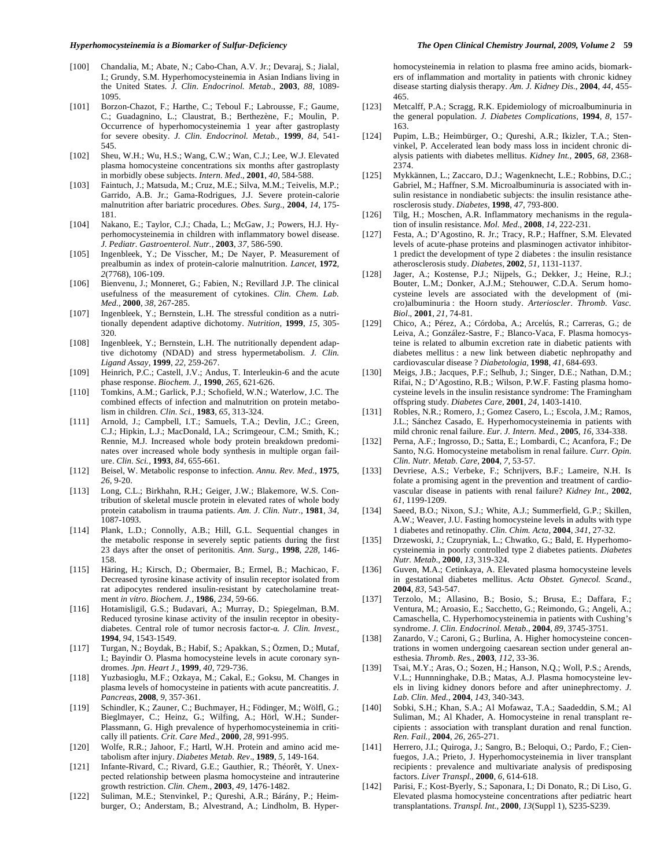- [100] Chandalia, M.; Abate, N.; Cabo-Chan, A.V. Jr.; Devaraj, S.; Jialal, I.; Grundy, S.M. Hyperhomocysteinemia in Asian Indians living in the United States*. J. Clin*. *Endocrinol. Metab*., **2003**, *88,* 1089- 1095.
- [101] Borzon-Chazot, F.; Harthe, C.; Teboul F.; Labrousse, F.; Gaume, C.; Guadagnino, L.; Claustrat, B.; Berthezène, F.; Moulin, P. Occurrence of hyperhomocysteinemia 1 year after gastroplasty for severe obesity. *J. Clin. Endocrinol. Metab.,* **1999**, *84*, 541- 545.
- [102] Sheu, W.H.; Wu, H.S.; Wang, C.W.; Wan, C.J.; Lee, W.J. Elevated plasma homocysteine concentrations six months after gastroplasty in morbidly obese subjects. *Intern. Med*., **2001**, *40,* 584-588.
- [103] Faintuch, J.; Matsuda, M.; Cruz, M.E.; Silva, M.M.; Teivelis, M.P.; Garrido, A.B. Jr.; Gama-Rodrigues, J.J. Severe protein-calorie malnutrition after bariatric procedures. *Obes. Surg.,* **2004**, *14,* 175- 181.
- [104] Nakano, E.; Taylor, C.J.; Chada, L.; McGaw, J.; Powers, H.J. Hyperhomocysteinemia in children with inflammatory bowel disease. *J. Pediatr. Gastroenterol. Nutr.,* **2003**, *37,* 586-590.
- [105] Ingenbleek, Y.; De Visscher, M.; De Nayer, P. Measurement of prealbumin as index of protein-calorie malnutrition. *Lancet*, **1972**, *2*(7768)*,* 106-109.
- [106] Bienvenu, J.; Monneret, G.; Fabien, N.; Revillard J.P. The clinical usefulness of the measurement of cytokines. *Clin. Chem. Lab. Med.,* **2000**, *38*, 267-285.
- [107] Ingenbleek, Y.; Bernstein, L.H. The stressful condition as a nutritionally dependent adaptive dichotomy. *Nutrition*, **1999**, *15,* 305- 320.
- [108] Ingenbleek, Y.; Bernstein, L.H. The nutritionally dependent adaptive dichotomy (NDAD) and stress hypermetabolism. *J. Clin. Ligand Assay,* **1999**, *22,* 259-267.
- [109] Heinrich, P.C.; Castell, J.V.; Andus, T. Interleukin-6 and the acute phase response. *Biochem. J.,* **1990**, *265,* 621-626.
- [110] Tomkins, A.M.; Garlick, P.J.; Schofield, W.N.; Waterlow, J.C. The combined effects of infection and malnutrition on protein metabolism in children*. Clin. Sci.,* **1983**, *65,* 313-324.
- [111] Arnold, J.; Campbell, I.T.; Samuels, T.A.; Devlin, J.C.; Green, C.J.; Hipkin, L.J.; MacDonald, I.A.; Scrimgeour, C.M.; Smith, K.; Rennie, M.J. Increased whole body protein breakdown predominates over increased whole body synthesis in multiple organ failure. *Clin. Sci.,* **1993**, *84,* 655-661.
- [112] Beisel, W. Metabolic response to infection. *Annu. Rev. Med.,* **1975**, *26*, 9-20.
- [113] Long, C.L.; Birkhahn, R.H.; Geiger, J.W.; Blakemore, W.S. Contribution of skeletal muscle protein in elevated rates of whole body protein catabolism in trauma patients. *Am. J*. *Clin. Nutr.,* **1981**, *34,* 1087-1093.
- [114] Plank, L.D.; Connolly, A.B.; Hill, G.L. Sequential changes in the metabolic response in severely septic patients during the first 23 days after the onset of peritonitis. *Ann. Surg.,* **1998**, *228,* 146- 158.
- [115] Häring, H.; Kirsch, D.; Obermaier, B.; Ermel, B.; Machicao, F. Decreased tyrosine kinase activity of insulin receptor isolated from rat adipocytes rendered insulin-resistant by catecholamine treatment *in vitro*. *Biochem. J.,* **1986**, *234,* 59-66.
- [116] Hotamisligil, G.S.; Budavari, A.; Murray, D.; Spiegelman, B.M. Reduced tyrosine kinase activity of the insulin receptor in obesitydiabetes. Central role of tumor necrosis factor-a. *J. Clin. Invest.*, **1994**, *94*, 1543-1549.
- [117] Turgan, N.; Boydak, B.; Habif, S.; Apakkan, S.; Özmen, D.; Mutaf, I.; Bayindir O. Plasma homocysteine levels in acute coronary syndromes. *Jpn. Heart J.,* **1999**, *40,* 729-736.
- [118] Yuzbasioglu, M.F.; Ozkaya, M.; Cakal, E.; Goksu, M. Changes in plasma levels of homocysteine in patients with acute pancreatitis. *J. Pancreas,* **2008**, *9,* 357-361.
- [119] Schindler, K.; Zauner, C.; Buchmayer, H.; Födinger, M.; Wölfl, G.; Bieglmayer, C.; Heinz, G.; Wilfing, A.; Hörl, W.H.; Sunder-Plassmann, G. High prevalence of hyperhomocysteinemia in critically ill patients. *Crit. Care Med*., **2000**, *28*, 991-995.
- [120] Wolfe, R.R.; Jahoor, F.; Hartl, W.H. Protein and amino acid metabolism after injury. *Diabetes Metab. Rev*., **1989**, *5,* 149-164.
- [121] Infante-Rivard, C.; Rivard, G.E.; Gauthier, R.; Théorêt, Y. Unexpected relationship between plasma homocysteine and intrauterine growth restriction. *Clin. Chem.,* **2003**, *49,* 1476-1482.
- [122] Suliman, M.E.; Stenvinkel, P.; Qureshi, A.R.; Bárány, P.; Heimburger, O.; Anderstam, B.; Alvestrand, A.; Lindholm, B. Hyper-

homocysteinemia in relation to plasma free amino acids, biomarkers of inflammation and mortality in patients with chronic kidney disease starting dialysis therapy. *Am. J. Kidney Dis.,* **2004**, *44,* 455- 465.

- [123] Metcalff, P.A.; Scragg, R.K. Epidemiology of microalbuminuria in the general population. *J. Diabetes Complications,* **1994**, *8*, 157- 163.
- [124] Pupim, L.B.; Heimbürger, O.; Qureshi, A.R.; Ikizler, T.A.; Stenvinkel, P. Accelerated lean body mass loss in incident chronic dialysis patients with diabetes mellitus. *Kidney Int.,* **2005**, *68,* 2368- 2374.
- [125] Mykkännen, L.; Zaccaro, D.J.; Wagenknecht, L.E.; Robbins, D.C.; Gabriel, M.; Haffner, S.M. Microalbuminuria is associated with insulin resistance in nondiabetic subjects: the insulin resistance atherosclerosis study. *Diabetes,* **1998**, *47,* 793-800.
- [126] Tilg, H.; Moschen, A.R. Inflammatory mechanisms in the regulation of insulin resistance. *Mol. Med.,* **2008**, *14,* 222-231.
- [127] Festa, A.; D'Agostino, R. Jr.; Tracy, R.P.; Haffner, S.M. Elevated levels of acute-phase proteins and plasminogen activator inhibitor-1 predict the development of type 2 diabetes : the insulin resistance atherosclerosis study. *Diabetes,* **2002**, *51,* 1131-1137.
- [128] Jager, A.; Kostense, P.J.; Nijpels, G.; Dekker, J.; Heine, R.J.; Bouter, L.M.; Donker, A.J.M.; Stehouwer, C.D.A. Serum homocysteine levels are associated with the development of (micro)albuminuria : the Hoorn study. *Arterioscler*. *Thromb. Vasc. Biol*., **2001**, *21,* 74-81.
- [129] Chico, A.; Pérez, A.; Córdoba, A.; Arcelús, R.; Carreras, G.; de Leiva, A.; González-Sastre, F.; Blanco-Vaca, F. Plasma homocysteine is related to albumin excretion rate in diabetic patients with diabetes mellitus : a new link between diabetic nephropathy and cardiovascular disease ? *Diabetologia,* **1998**, *41,* 684-693.
- [130] Meigs, J.B.; Jacques, P.F.; Selhub, J.; Singer, D.E.; Nathan, D.M.; Rifai, N.; D'Agostino, R.B.; Wilson, P.W.F. Fasting plasma homocysteine levels in the insulin resistance syndrome: The Framingham offspring study. *Diabetes Care,* **2001**, *24,* 1403-1410.
- [131] Robles, N.R.; Romero, J.; Gomez Casero, L.; Escola, J.M.; Ramos, J.L.; Sánchez Casado, E. Hyperhomocysteinemia in patients with mild chronic renal failure. *Eur. J. Intern. Med.,* **2005**, *16,* 334-338.
- [132] Perna, A.F.; Ingrosso, D.; Satta, E.; Lombardi, C.; Acanfora, F.; De Santo, N.G. Homocysteine metabolism in renal failure. *Curr. Opin. Clin. Nutr. Metab. Care,* **2004**, *7,* 53-57.
- [133] Devriese, A.S.; Verbeke, F.; Schrijvers, B.F.; Lameire, N.H. Is folate a promising agent in the prevention and treatment of cardiovascular disease in patients with renal failure? *Kidney Int.,* **2002**, *61,* 1199-1209.
- [134] Saeed, B.O.; Nixon, S.J.; White, A.J.; Summerfield, G.P.; Skillen, A.W.; Weaver, J.U. Fasting homocysteine levels in adults with type 1 diabetes and retinopathy. *Clin. Chim. Acta,* **2004**, *341*, 27-32.
- [135] Drzewoski, J.; Czupryniak, L.; Chwatko, G.; Bald, E. Hyperhomocysteinemia in poorly controlled type 2 diabetes patients. *Diabetes Nutr. Metab.,* **2000**, *13,* 319-324.
- [136] Guven, M.A.; Cetinkaya, A. Elevated plasma homocysteine levels in gestational diabetes mellitus. *Acta Obstet. Gynecol. Scand.,*  **2004***, 83,* 543-547.
- [137] Terzolo, M.; Allasino, B.; Bosio, S.; Brusa, E.; Daffara, F.; Ventura, M.; Aroasio, E.; Sacchetto, G.; Reimondo, G.; Angeli, A.; Camaschella, C. Hyperhomocysteinemia in patients with Cushing's syndrome. *J. Clin. Endocrinol. Metab.,* **2004**, *89*, 3745-3751.
- [138] Zanardo, V.; Caroni, G.; Burlina, A. Higher homocysteine concentrations in women undergoing caesarean section under general anesthesia. *Thromb. Res.,* **2003**, *112,* 33-36.
- [139] Tsai, M.Y.; Aras, O.; Sozen, H.; Hanson, N.O.; Woll, P.S.; Arends, V.L.; Hunnninghake, D.B.; Matas, A.J. Plasma homocysteine levels in living kidney donors before and after uninephrectomy. *J. Lab. Clin. Med.,* **2004**, *143*, 340-343.
- [140] Sobki, S.H.; Khan, S.A.; Al Mofawaz, T.A.; Saadeddin, S.M.; Al Suliman, M.; Al Khader, A. Homocysteine in renal transplant recipients : association with transplant duration and renal function. *Ren. Fail.,* **2004**, *26*, 265-271.
- [141] Herrero, J.I.; Quiroga, J.; Sangro, B.; Beloqui, O.; Pardo, F.; Cienfuegos, J.A.; Prieto, J. Hyperhomocysteinemia in liver transplant recipients : prevalence and multivariate analysis of predisposing factors. *Liver Transpl.,* **2000**, *6,* 614-618.
- [142] Parisi, F.; Kost-Byerly, S.; Saponara, I.; Di Donato, R.; Di Liso, G. Elevated plasma homocysteine concentrations after pediatric heart transplantations. *Transpl. Int.,* **2000**, *13*(Suppl 1), S235-S239.